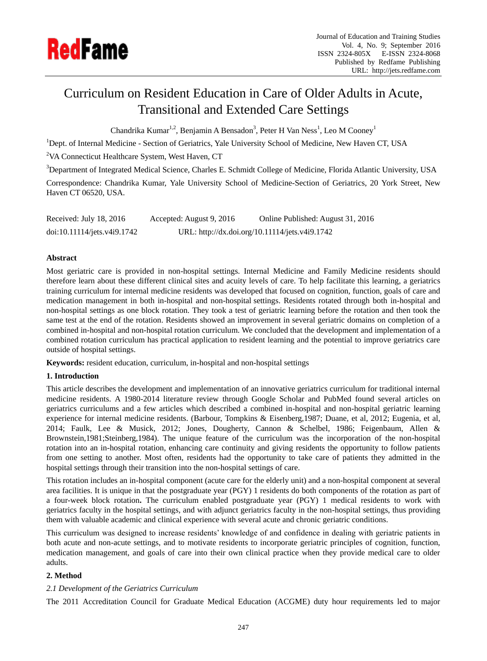

# Curriculum on Resident Education in Care of Older Adults in Acute, Transitional and Extended Care Settings

Chandrika Kumar<sup>1,2</sup>, Benjamin A Bensadon<sup>3</sup>, Peter H Van Ness<sup>1</sup>, Leo M Cooney<sup>1</sup>

<sup>1</sup>Dept. of Internal Medicine - Section of Geriatrics, Yale University School of Medicine, New Haven CT, USA

<sup>2</sup>VA Connecticut Healthcare System, West Haven, CT

<sup>3</sup>Department of Integrated Medical Science, Charles E. Schmidt College of Medicine, Florida Atlantic University, USA

Correspondence: Chandrika Kumar, Yale University School of Medicine-Section of Geriatrics, 20 York Street, New Haven CT 06520, USA.

| Received: July 18, 2016     | Accepted: August 9, 2016 | Online Published: August 31, 2016              |
|-----------------------------|--------------------------|------------------------------------------------|
| doi:10.11114/jets.v4i9.1742 |                          | URL: http://dx.doi.org/10.11114/jets.v4i9.1742 |

# **Abstract**

Most geriatric care is provided in non-hospital settings. Internal Medicine and Family Medicine residents should therefore learn about these different clinical sites and acuity levels of care. To help facilitate this learning, a geriatrics training curriculum for internal medicine residents was developed that focused on cognition, function, goals of care and medication management in both in-hospital and non-hospital settings. Residents rotated through both in-hospital and non-hospital settings as one block rotation. They took a test of geriatric learning before the rotation and then took the same test at the end of the rotation. Residents showed an improvement in several geriatric domains on completion of a combined in-hospital and non-hospital rotation curriculum. We concluded that the development and implementation of a combined rotation curriculum has practical application to resident learning and the potential to improve geriatrics care outside of hospital settings.

**Keywords:** resident education, curriculum, in-hospital and non-hospital settings

# **1. Introduction**

This article describes the development and implementation of an innovative geriatrics curriculum for traditional internal medicine residents. A 1980-2014 literature review through Google Scholar and PubMed found several articles on geriatrics curriculums and a few articles which described a combined in-hospital and non-hospital geriatric learning experience for internal medicine residents. (Barbour, Tompkins & Eisenberg,1987; Duane, et al, 2012; Eugenia, et al, 2014; Faulk, Lee & Musick, 2012; Jones, Dougherty, Cannon & Schelbel, 1986; Feigenbaum, Allen & Brownstein,1981;Steinberg,1984). The unique feature of the curriculum was the incorporation of the non-hospital rotation into an in-hospital rotation, enhancing care continuity and giving residents the opportunity to follow patients from one setting to another. Most often, residents had the opportunity to take care of patients they admitted in the hospital settings through their transition into the non-hospital settings of care.

This rotation includes an in-hospital component (acute care for the elderly unit) and a non-hospital component at several area facilities. It is unique in that the postgraduate year (PGY) 1 residents do both components of the rotation as part of a four-week block rotation**.** The curriculum enabled postgraduate year (PGY) 1 medical residents to work with geriatrics faculty in the hospital settings, and with adjunct geriatrics faculty in the non-hospital settings, thus providing them with valuable academic and clinical experience with several acute and chronic geriatric conditions.

This curriculum was designed to increase residents' knowledge of and confidence in dealing with geriatric patients in both acute and non-acute settings, and to motivate residents to incorporate geriatric principles of cognition, function, medication management, and goals of care into their own clinical practice when they provide medical care to older adults.

# **2. Method**

# *2.1 Development of the Geriatrics Curriculum*

The 2011 Accreditation Council for Graduate Medical Education (ACGME) duty hour requirements led to major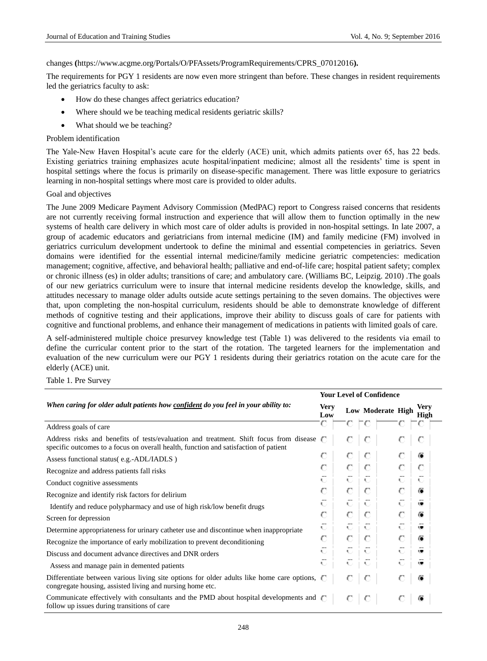#### changes **(**https://www.acgme.org/Portals/O/PFAssets/ProgramRequirements/CPRS\_07012016**).**

The requirements for PGY 1 residents are now even more stringent than before. These changes in resident requirements led the geriatrics faculty to ask:

- How do these changes affect geriatrics education?
- Where should we be teaching medical residents geriatric skills?
- What should we be teaching?

#### Problem identification

The Yale-New Haven Hospital's acute care for the elderly (ACE) unit, which admits patients over 65, has 22 beds. Existing geriatrics training emphasizes acute hospital/inpatient medicine; almost all the residents' time is spent in hospital settings where the focus is primarily on disease-specific management. There was little exposure to geriatrics learning in non-hospital settings where most care is provided to older adults.

#### Goal and objectives

The June 2009 Medicare Payment Advisory Commission (MedPAC) report to Congress raised concerns that residents are not currently receiving formal instruction and experience that will allow them to function optimally in the new systems of health care delivery in which most care of older adults is provided in non-hospital settings. In late 2007, a group of academic educators and geriatricians from internal medicine (IM) and family medicine (FM) involved in geriatrics curriculum development undertook to define the minimal and essential competencies in geriatrics. Seven domains were identified for the essential internal medicine/family medicine geriatric competencies: medication management; cognitive, affective, and behavioral health; palliative and end-of-life care; hospital patient safety; complex or chronic illness (es) in older adults; transitions of care; and ambulatory care. (Williams BC, Leipzig. 2010) .The goals of our new geriatrics curriculum were to insure that internal medicine residents develop the knowledge, skills, and attitudes necessary to manage older adults outside acute settings pertaining to the seven domains. The objectives were that, upon completing the non-hospital curriculum, residents should be able to demonstrate knowledge of different methods of cognitive testing and their applications, improve their ability to discuss goals of care for patients with cognitive and functional problems, and enhance their management of medications in patients with limited goals of care.

A self-administered multiple choice presurvey knowledge test (Table 1) was delivered to the residents via email to define the curricular content prior to the start of the rotation. The targeted learners for the implementation and evaluation of the new curriculum were our PGY 1 residents during their geriatrics rotation on the acute care for the elderly (ACE) unit.

Table 1. Pre Survey

|                                                                                                                                                                                |                    |    | <b>Your Level of Confidence</b> |    |              |  |  |  |
|--------------------------------------------------------------------------------------------------------------------------------------------------------------------------------|--------------------|----|---------------------------------|----|--------------|--|--|--|
| When caring for older adult patients how <u>confident</u> do you feel in your ability to:                                                                                      | <b>Very</b><br>Low |    | <b>Low Moderate High</b>        |    | Verv<br>High |  |  |  |
| Address goals of care                                                                                                                                                          |                    |    |                                 |    |              |  |  |  |
| Address risks and benefits of tests/evaluation and treatment. Shift focus from disease<br>specific outcomes to a focus on overall health, function and satisfaction of patient |                    |    | С                               |    | С            |  |  |  |
| Assess functional status(e.g.-ADL/IADLS)                                                                                                                                       | с                  |    | С                               |    | ⊛            |  |  |  |
| Recognize and address patients fall risks                                                                                                                                      | С                  | О  | €                               |    | С            |  |  |  |
| Conduct cognitive assessments                                                                                                                                                  | 见了                 | Ю. | A.                              | ų, | 机            |  |  |  |
| Recognize and identify risk factors for delirium                                                                                                                               | С                  | о  | О                               |    | ۰            |  |  |  |
| Identify and reduce polypharmacy and use of high risk/low benefit drugs                                                                                                        | 5.                 | A. | A.                              | ų, | ÷            |  |  |  |
| Screen for depression                                                                                                                                                          | С                  | O  | $\mathbb C$                     |    | ⊛            |  |  |  |
| Determine appropriateness for urinary catheter use and discontinue when inappropriate                                                                                          | ۹U,                | Ю. | A.                              | ų, | ÷            |  |  |  |
| Recognize the importance of early mobilization to prevent deconditioning                                                                                                       | С                  | o  | С                               |    | ⊛            |  |  |  |
| Discuss and document advance directives and DNR orders                                                                                                                         | 见了                 | Æ. | A.                              | ŧ. | œ            |  |  |  |
| Assess and manage pain in demented patients                                                                                                                                    | R.                 | К. | A.                              | ų. | ÷            |  |  |  |
| Differentiate between various living site options for older adults like home care options, $\Gamma$<br>congregate housing, assisted living and nursing home etc.               |                    |    | С                               |    | 僮            |  |  |  |
| Communicate effectively with consultants and the PMD about hospital developments and (<br>follow up issues during transitions of care                                          |                    |    | С                               |    | Œ            |  |  |  |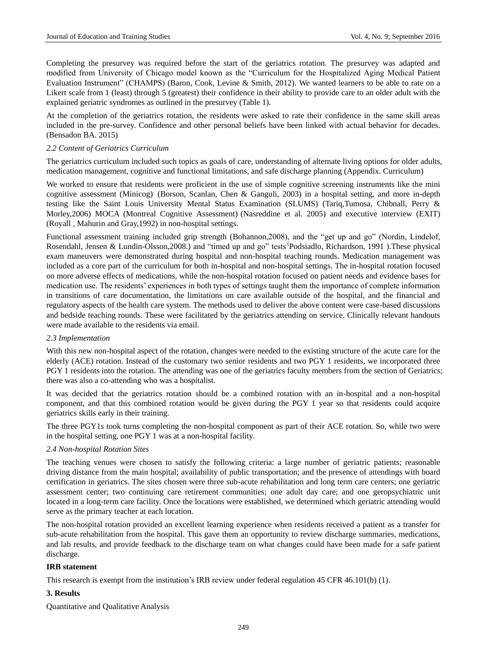Completing the presurvey was required before the start of the geriatrics rotation. The presurvey was adapted and modified from University of Chicago model known as the "Curriculum for the Hospitalized Aging Medical Patient Evaluation Instrument" (CHAMPS) (Baron, Cook, Levine & Smith, 2012). We wanted learners to be able to rate on a Likert scale from 1 (least) through 5 (greatest) their confidence in their ability to provide care to an older adult with the explained geriatric syndromes as outlined in the presurvey (Table 1).

At the completion of the geriatrics rotation, the residents were asked to rate their confidence in the same skill areas included in the pre-survey. Confidence and other personal beliefs have been linked with actual behavior for decades. (Bensadon BA. 2015)

#### *2.2 Content of Geriatrics Curriculum*

The geriatrics curriculum included such topics as goals of care, understanding of alternate living options for older adults, medication management, cognitive and functional limitations, and safe discharge planning (Appendix. Curriculum)

We worked to ensure that residents were proficient in the use of simple cognitive screening instruments like the mini cognitive assessment (Minicog) (Borson, Scanlan, Chen & Ganguli, 2003) in a hospital setting, and more in-depth testing like the Saint Louis University Mental Status Examination (SLUMS) (Tariq,Tumosa, Chibnall, Perry & Morley,2006) MOCA (Montreal Cognitive Assessment) (Nasreddine et al. 2005) and executive interview (EXIT) (Royall , Mahurin and Gray,1992) in non-hospital settings.

Functional assessment training included grip strength (Bohannon,2008), and the "get up and go" (Nordin, Lindelof, Rosendahl, Jensen & Lundin-Olsson, 2008.) and "timed up and go" tests 'Podsiadlo, Richardson, 1991 ). These physical exam maneuvers were demonstrated during hospital and non-hospital teaching rounds. Medication management was included as a core part of the curriculum for both in-hospital and non-hospital settings. The in-hospital rotation focused on more adverse effects of medications, while the non-hospital rotation focused on patient needs and evidence bases for medication use. The residents' experiences in both types of settings taught them the importance of complete information in transitions of care documentation, the limitations on care available outside of the hospital, and the financial and regulatory aspects of the health care system. The methods used to deliver the above content were case-based discussions and bedside teaching rounds. These were facilitated by the geriatrics attending on service. Clinically relevant handouts were made available to the residents via email.

# *2.3 Implementation*

With this new non-hospital aspect of the rotation, changes were needed to the existing structure of the acute care for the elderly (ACE) rotation. Instead of the customary two senior residents and two PGY 1 residents, we incorporated three PGY 1 residents into the rotation. The attending was one of the geriatrics faculty members from the section of Geriatrics; there was also a co-attending who was a hospitalist.

It was decided that the geriatrics rotation should be a combined rotation with an in-hospital and a non-hospital component, and that this combined rotation would be given during the PGY 1 year so that residents could acquire geriatrics skills early in their training.

The three PGY1s took turns completing the non-hospital component as part of their ACE rotation. So, while two were in the hospital setting, one PGY 1 was at a non-hospital facility.

#### *2.4 Non-hospital Rotation Sites*

The teaching venues were chosen to satisfy the following criteria: a large number of geriatric patients; reasonable driving distance from the main hospital; availability of public transportation; and the presence of attendings with board certification in geriatrics. The sites chosen were three sub-acute rehabilitation and long term care centers; one geriatric assessment center; two continuing care retirement communities; one adult day care; and one geropsychiatric unit located in a long-term care facility. Once the locations were established, we determined which geriatric attending would serve as the primary teacher at each location.

The non-hospital rotation provided an excellent learning experience when residents received a patient as a transfer for sub-acute rehabilitation from the hospital. This gave them an opportunity to review discharge summaries, medications, and lab results, and provide feedback to the discharge team on what changes could have been made for a safe patient discharge.

# **IRB statement**

This research is exempt from the institution's IRB review under federal regulation 45 CFR 46.101(b) (1).

# **3. Results**

Quantitative and Qualitative Analysis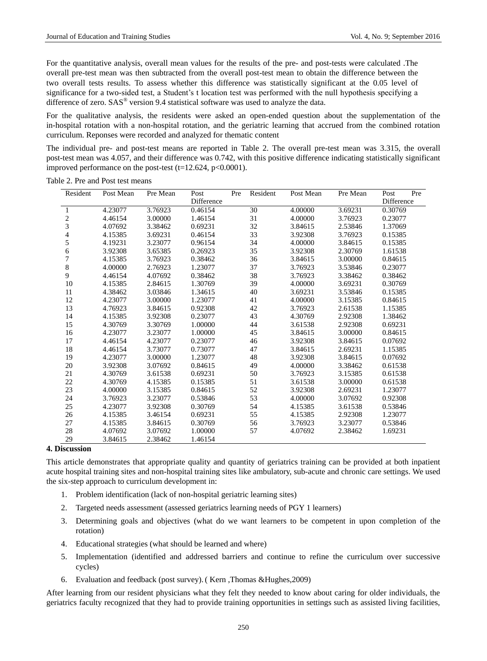For the quantitative analysis, overall mean values for the results of the pre- and post-tests were calculated .The overall pre-test mean was then subtracted from the overall post-test mean to obtain the difference between the two overall tests results. To assess whether this difference was statistically significant at the 0.05 level of significance for a two-sided test, a Student's t location test was performed with the null hypothesis specifying a difference of zero.  $SAS^{\circledast}$  version 9.4 statistical software was used to analyze the data.

For the qualitative analysis, the residents were asked an open-ended question about the supplementation of the in-hospital rotation with a non-hospital rotation, and the geriatric learning that accrued from the combined rotation curriculum. Reponses were recorded and analyzed for thematic content

The individual pre- and post-test means are reported in Table 2. The overall pre-test mean was 3.315, the overall post-test mean was 4.057, and their difference was 0.742, with this positive difference indicating statistically significant improved performance on the post-test  $(t=12.624, p<0.0001)$ .

| Resident       | Post Mean | Pre Mean | Post       | Pre | Resident | Post Mean | Pre Mean | Post<br>Pre |
|----------------|-----------|----------|------------|-----|----------|-----------|----------|-------------|
|                |           |          | Difference |     |          |           |          | Difference  |
| $\mathbf{1}$   | 4.23077   | 3.76923  | 0.46154    |     | 30       | 4.00000   | 3.69231  | 0.30769     |
| $\frac{2}{3}$  | 4.46154   | 3.00000  | 1.46154    |     | 31       | 4.00000   | 3.76923  | 0.23077     |
|                | 4.07692   | 3.38462  | 0.69231    |     | 32       | 3.84615   | 2.53846  | 1.37069     |
| 4              | 4.15385   | 3.69231  | 0.46154    |     | 33       | 3.92308   | 3.76923  | 0.15385     |
| 5              | 4.19231   | 3.23077  | 0.96154    |     | 34       | 4.00000   | 3.84615  | 0.15385     |
| 6              | 3.92308   | 3.65385  | 0.26923    |     | 35       | 3.92308   | 2.30769  | 1.61538     |
| $\overline{7}$ | 4.15385   | 3.76923  | 0.38462    |     | 36       | 3.84615   | 3.00000  | 0.84615     |
| 8              | 4.00000   | 2.76923  | 1.23077    |     | 37       | 3.76923   | 3.53846  | 0.23077     |
| 9              | 4.46154   | 4.07692  | 0.38462    |     | 38       | 3.76923   | 3.38462  | 0.38462     |
| 10             | 4.15385   | 2.84615  | 1.30769    |     | 39       | 4.00000   | 3.69231  | 0.30769     |
| 11             | 4.38462   | 3.03846  | 1.34615    |     | 40       | 3.69231   | 3.53846  | 0.15385     |
| 12             | 4.23077   | 3.00000  | 1.23077    |     | 41       | 4.00000   | 3.15385  | 0.84615     |
| 13             | 4.76923   | 3.84615  | 0.92308    |     | 42       | 3.76923   | 2.61538  | 1.15385     |
| 14             | 4.15385   | 3.92308  | 0.23077    |     | 43       | 4.30769   | 2.92308  | 1.38462     |
| 15             | 4.30769   | 3.30769  | 1.00000    |     | 44       | 3.61538   | 2.92308  | 0.69231     |
| 16             | 4.23077   | 3.23077  | 1.00000    |     | 45       | 3.84615   | 3.00000  | 0.84615     |
| 17             | 4.46154   | 4.23077  | 0.23077    |     | 46       | 3.92308   | 3.84615  | 0.07692     |
| 18             | 4.46154   | 3.73077  | 0.73077    |     | 47       | 3.84615   | 2.69231  | 1.15385     |
| 19             | 4.23077   | 3.00000  | 1.23077    |     | 48       | 3.92308   | 3.84615  | 0.07692     |
| 20             | 3.92308   | 3.07692  | 0.84615    |     | 49       | 4.00000   | 3.38462  | 0.61538     |
| 21             | 4.30769   | 3.61538  | 0.69231    |     | 50       | 3.76923   | 3.15385  | 0.61538     |
| 22             | 4.30769   | 4.15385  | 0.15385    |     | 51       | 3.61538   | 3.00000  | 0.61538     |
| 23             | 4.00000   | 3.15385  | 0.84615    |     | 52       | 3.92308   | 2.69231  | 1.23077     |
| 24             | 3.76923   | 3.23077  | 0.53846    |     | 53       | 4.00000   | 3.07692  | 0.92308     |
| 25             | 4.23077   | 3.92308  | 0.30769    |     | 54       | 4.15385   | 3.61538  | 0.53846     |
| 26             | 4.15385   | 3.46154  | 0.69231    |     | 55       | 4.15385   | 2.92308  | 1.23077     |
| 27             | 4.15385   | 3.84615  | 0.30769    |     | 56       | 3.76923   | 3.23077  | 0.53846     |
| 28             | 4.07692   | 3.07692  | 1.00000    |     | 57       | 4.07692   | 2.38462  | 1.69231     |
| 29             | 3.84615   | 2.38462  | 1.46154    |     |          |           |          |             |

Table 2. Pre and Post test means

### **4. Discussion**

This article demonstrates that appropriate quality and quantity of geriatrics training can be provided at both inpatient acute hospital training sites and non-hospital training sites like ambulatory, sub-acute and chronic care settings. We used the six-step approach to curriculum development in:

- 1. Problem identification (lack of non-hospital geriatric learning sites)
- 2. Targeted needs assessment (assessed geriatrics learning needs of PGY 1 learners)
- 3. Determining goals and objectives (what do we want learners to be competent in upon completion of the rotation)
- 4. Educational strategies (what should be learned and where)
- 5. Implementation (identified and addressed barriers and continue to refine the curriculum over successive cycles)
- 6. Evaluation and feedback (post survey). ( Kern ,Thomas &Hughes,2009)

After learning from our resident physicians what they felt they needed to know about caring for older individuals, the geriatrics faculty recognized that they had to provide training opportunities in settings such as assisted living facilities,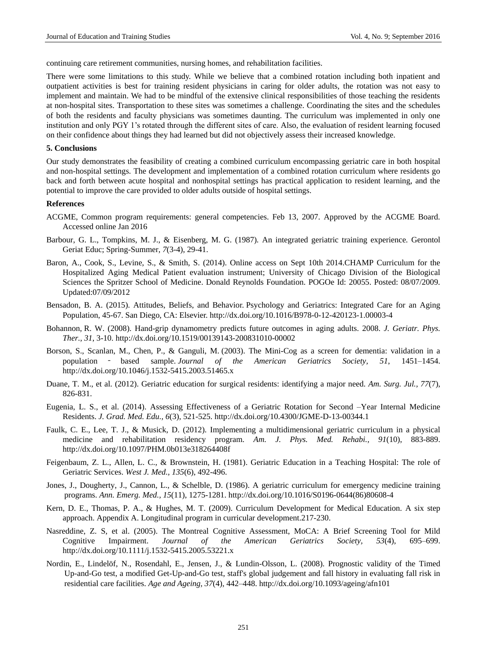continuing care retirement communities, nursing homes, and rehabilitation facilities.

There were some limitations to this study. While we believe that a combined rotation including both inpatient and outpatient activities is best for training resident physicians in caring for older adults, the rotation was not easy to implement and maintain. We had to be mindful of the extensive clinical responsibilities of those teaching the residents at non-hospital sites. Transportation to these sites was sometimes a challenge. Coordinating the sites and the schedules of both the residents and faculty physicians was sometimes daunting. The curriculum was implemented in only one institution and only PGY 1's rotated through the different sites of care. Also, the evaluation of resident learning focused on their confidence about things they had learned but did not objectively assess their increased knowledge.

#### **5. Conclusions**

Our study demonstrates the feasibility of creating a combined curriculum encompassing geriatric care in both hospital and non-hospital settings. The development and implementation of a combined rotation curriculum where residents go back and forth between acute hospital and nonhospital settings has practical application to resident learning, and the potential to improve the care provided to older adults outside of hospital settings.

#### **References**

- ACGME, Common program requirements: general competencies. Feb 13, 2007. Approved by the ACGME Board. Accessed online Jan 2016
- Barbour, G. L., Tompkins, M. J., & Eisenberg, M. G. (1987)*.* An integrated geriatric training experience*.* Gerontol Geriat Educ; Spring-Summer, *7*(3-4), 29-41.
- Baron, A., Cook, S., Levine, S., & Smith, S. (2014). Online access on Sept 10th 2014.CHAMP Curriculum for the Hospitalized Aging Medical Patient evaluation instrument; University of Chicago Division of the Biological Sciences the Spritzer School of Medicine. Donald Reynolds Foundation. POGOe Id: 20055. Posted: 08/07/2009. Updated:07/09/2012
- Bensadon, B. A. (2015). Attitudes, Beliefs, and Behavior. Psychology and Geriatrics: Integrated Care for an Aging Population, 45-67. San Diego, CA: Elsevier[. http://dx.doi.org/10.1016/B978-0-12-420123-1.00003-4](http://dx.doi.org/10.1016/B978-0-12-420123-1.00003-4)
- Bohannon, R. W. (2008). Hand-grip dynamometry predicts future outcomes in aging adults. 2008. *J. Geriatr. Phys. Ther., 31*, 3-10. <http://dx.doi.org/10.1519/00139143-200831010-00002>
- Borson, S., Scanlan, M., Chen, P., & Ganguli, M. (2003). The Mini-Cog as a screen for dementia: validation in a population ‐ based sample. *Journal of the American Geriatrics Society, 51*, 1451–1454. <http://dx.doi.org/10.1046/j.1532-5415.2003.51465.x>
- Duane, T. M., et al. (2012). Geriatric education for surgical residents: identifying a major need. *Am. Surg. Jul., 77*(7), 826-831.
- Eugenia, L. S., et al. (2014). Assessing Effectiveness of a Geriatric Rotation for Second –Year Internal Medicine Residents. *J. Grad. Med. Edu., 6*(3), 521-525. <http://dx.doi.org/10.4300/JGME-D-13-00344.1>
- Faulk, C. E., Lee, T. J., & Musick, D. (2012). Implementing a multidimensional geriatric curriculum in a physical medicine and rehabilitation residency program. *Am. J. Phys. Med. Rehabi., 91*(10), 883-889. <http://dx.doi.org/10.1097/PHM.0b013e318264408f>
- Feigenbaum, Z. L., Allen, L. C., & [Brownstein,](http://www.ncbi.nlm.nih.gov/pubmed/?term=Brownstein%20H%5BAuthor%5D&cauthor=true&cauthor_uid=7336715) H. (1981). Geriatric Education in a Teaching Hospital: The role of Geriatric Services. *West J. Med., 135*(6), 492-496.
- [Jones,](http://www.ncbi.nlm.nih.gov/pubmed/?term=Jones%20J%5BAuthor%5D&cauthor=true&cauthor_uid=3777582) J., [Dougherty, J.,](http://www.ncbi.nlm.nih.gov/pubmed/?term=Dougherty%20J%5BAuthor%5D&cauthor=true&cauthor_uid=3777582) [Cannon,](http://www.ncbi.nlm.nih.gov/pubmed/?term=Cannon%20L%5BAuthor%5D&cauthor=true&cauthor_uid=3777582) L., & [Schelble,](http://www.ncbi.nlm.nih.gov/pubmed/?term=Schelble%20D%5BAuthor%5D&cauthor=true&cauthor_uid=3777582) D. (1986). A geriatric curriculum for emergency medicine training programs. *Ann. Emerg. Med., 15*(11), 1275-1281[. http://dx.doi.org/10.1016/S0196-0644\(86\)80608-4](http://dx.doi.org/10.1016/S0196-0644%2886%2980608-4)
- Kern, D. E., Thomas, P. A., & Hughes, M. T. (2009). Curriculum Development for Medical Education. A six step approach. Appendix A. Longitudinal program in curricular development.217-230.
- Nasreddine, Z. S, et al. (2005). The Montreal Cognitive Assessment, MoCA: A Brief Screening Tool for Mild Cognitive Impairment. *Journal of the American Geriatrics Society, 53*(4), 695–699. <http://dx.doi.org/10.1111/j.1532-5415.2005.53221.x>
- [Nordin,](http://www.ncbi.nlm.nih.gov/pubmed/?term=Nordin%20E%5BAuthor%5D&cauthor=true&cauthor_uid=18515291) E., [Lindelöf,](http://www.ncbi.nlm.nih.gov/pubmed/?term=Lindel%C3%B6f%20N%5BAuthor%5D&cauthor=true&cauthor_uid=18515291) N., [Rosendahl,](http://www.ncbi.nlm.nih.gov/pubmed/?term=Rosendahl%20E%5BAuthor%5D&cauthor=true&cauthor_uid=18515291) E., [Jensen,](http://www.ncbi.nlm.nih.gov/pubmed/?term=Jensen%20J%5BAuthor%5D&cauthor=true&cauthor_uid=18515291) J., & [Lundin-Olsson,](http://www.ncbi.nlm.nih.gov/pubmed/?term=Lundin-Olsson%20L%5BAuthor%5D&cauthor=true&cauthor_uid=18515291) L. (2008). Prognostic validity of the Timed Up-and-Go test, a modified Get-Up-and-Go test, staff's global judgement and fall history in evaluating fall risk in residential care facilities. *Age and Ageing, 37*(4), 442–448. <http://dx.doi.org/10.1093/ageing/afn101>